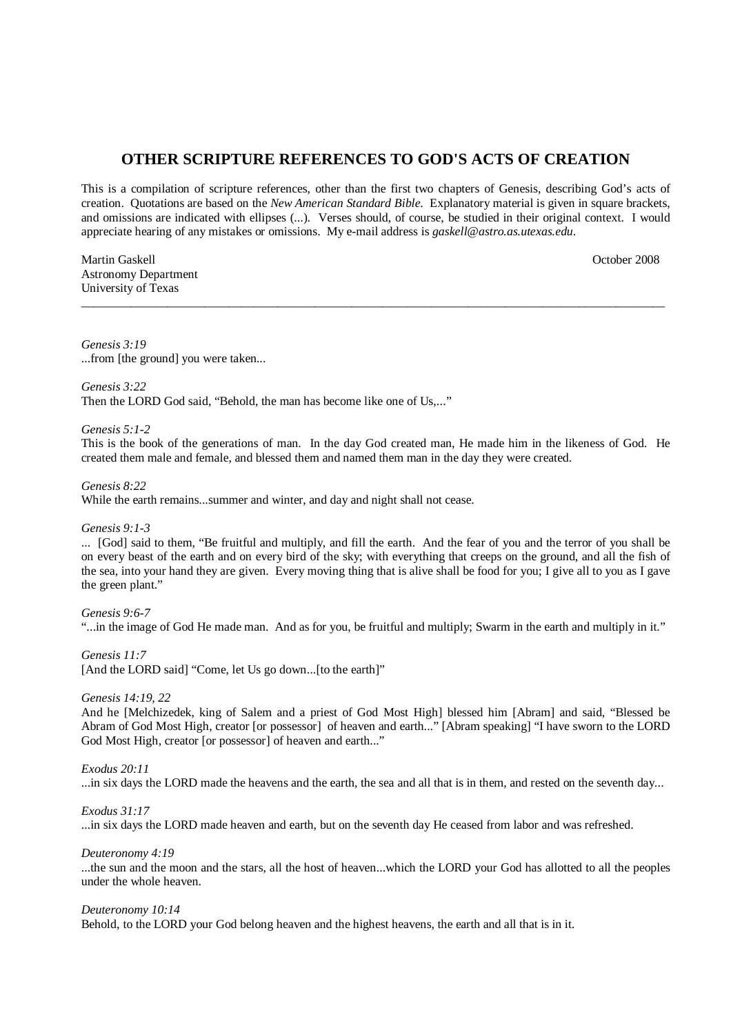# **OTHER SCRIPTURE REFERENCES TO GOD'S ACTS OF CREATION**

This is a compilation of scripture references, other than the first two chapters of Genesis, describing God's acts of creation. Quotations are based on the *New American Standard Bible*. Explanatory material is given in square brackets, and omissions are indicated with ellipses (...). Verses should, of course, be studied in their original context. I would appreciate hearing of any mistakes or omissions. My e-mail address is *gaskell@astro.as.utexas.edu*.

\_\_\_\_\_\_\_\_\_\_\_\_\_\_\_\_\_\_\_\_\_\_\_\_\_\_\_\_\_\_\_\_\_\_\_\_\_\_\_\_\_\_\_\_\_\_\_\_\_\_\_\_\_\_\_\_\_\_\_\_\_\_\_\_\_\_\_\_\_\_\_\_\_\_\_\_\_\_\_\_\_\_\_\_\_\_\_\_\_\_\_\_\_\_\_

Martin Gaskell October 2008 Astronomy Department University of Texas

*Genesis 3:19* ...from [the ground] you were taken...

#### *Genesis 3:22*

Then the LORD God said, "Behold, the man has become like one of Us,..."

# *Genesis 5:1-2*

This is the book of the generations of man. In the day God created man, He made him in the likeness of God. He created them male and female, and blessed them and named them man in the day they were created.

#### *Genesis 8:22*

While the earth remains...summer and winter, and day and night shall not cease.

#### *Genesis 9:1-3*

... [God] said to them, "Be fruitful and multiply, and fill the earth. And the fear of you and the terror of you shall be on every beast of the earth and on every bird of the sky; with everything that creeps on the ground, and all the fish of the sea, into your hand they are given. Every moving thing that is alive shall be food for you; I give all to you as I gave the green plant."

#### *Genesis 9:6-7*

"...in the image of God He made man. And as for you, be fruitful and multiply; Swarm in the earth and multiply in it."

#### *Genesis 11:7*

[And the LORD said] "Come, let Us go down...[to the earth]"

#### *Genesis 14:19, 22*

And he [Melchizedek, king of Salem and a priest of God Most High] blessed him [Abram] and said, "Blessed be Abram of God Most High, creator [or possessor] of heaven and earth..." [Abram speaking] "I have sworn to the LORD God Most High, creator [or possessor] of heaven and earth..."

# *Exodus 20:11*

...in six days the LORD made the heavens and the earth, the sea and all that is in them, and rested on the seventh day...

#### *Exodus 31:17*

...in six days the LORD made heaven and earth, but on the seventh day He ceased from labor and was refreshed.

#### *Deuteronomy 4:19*

...the sun and the moon and the stars, all the host of heaven...which the LORD your God has allotted to all the peoples under the whole heaven.

#### *Deuteronomy 10:14*

Behold, to the LORD your God belong heaven and the highest heavens, the earth and all that is in it.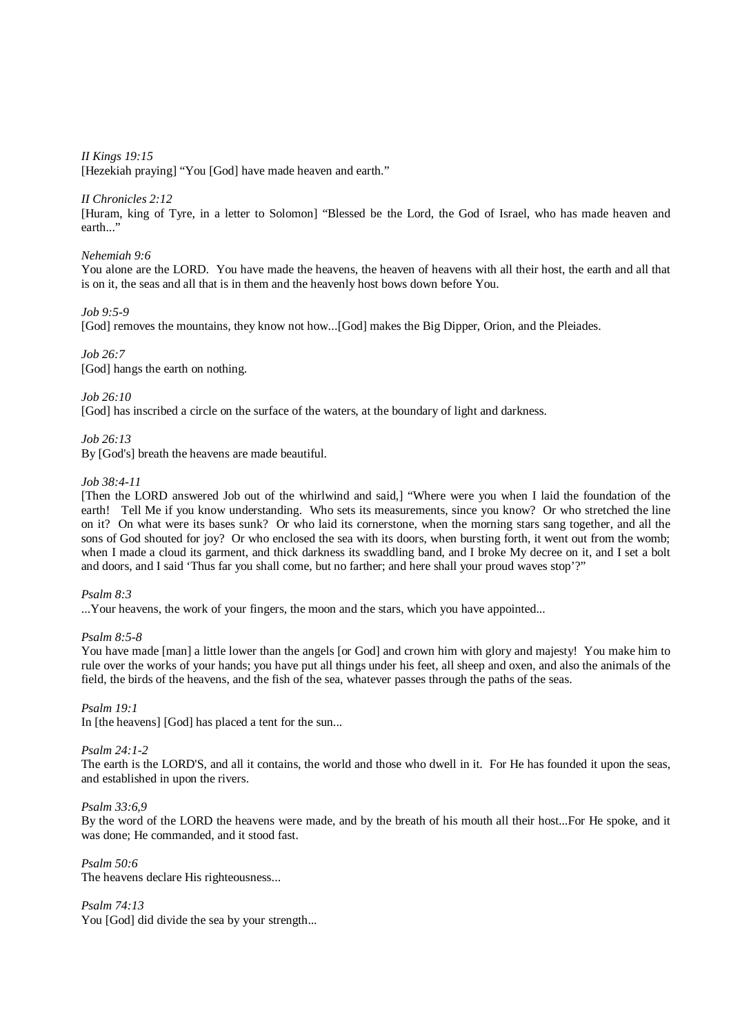*II Kings 19:15* 

[Hezekiah praying] "You [God] have made heaven and earth."

# *II Chronicles 2:12*

[Huram, king of Tyre, in a letter to Solomon] "Blessed be the Lord, the God of Israel, who has made heaven and earth..."

# *Nehemiah 9:6*

You alone are the LORD. You have made the heavens, the heaven of heavens with all their host, the earth and all that is on it, the seas and all that is in them and the heavenly host bows down before You.

# *Job 9:5-9*

[God] removes the mountains, they know not how...[God] makes the Big Dipper, Orion, and the Pleiades.

*Job 26:7*  [God] hangs the earth on nothing.

# *Job 26:10*

[God] has inscribed a circle on the surface of the waters, at the boundary of light and darkness.

# *Job 26:13*

By [God's] breath the heavens are made beautiful.

# *Job 38:4-11*

[Then the LORD answered Job out of the whirlwind and said,] "Where were you when I laid the foundation of the earth! Tell Me if you know understanding. Who sets its measurements, since you know? Or who stretched the line on it? On what were its bases sunk? Or who laid its cornerstone, when the morning stars sang together, and all the sons of God shouted for joy? Or who enclosed the sea with its doors, when bursting forth, it went out from the womb; when I made a cloud its garment, and thick darkness its swaddling band, and I broke My decree on it, and I set a bolt and doors, and I said 'Thus far you shall come, but no farther; and here shall your proud waves stop'?"

# *Psalm 8:3*

...Your heavens, the work of your fingers, the moon and the stars, which you have appointed...

# *Psalm 8:5-8*

You have made [man] a little lower than the angels [or God] and crown him with glory and majesty! You make him to rule over the works of your hands; you have put all things under his feet, all sheep and oxen, and also the animals of the field, the birds of the heavens, and the fish of the sea, whatever passes through the paths of the seas.

# *Psalm 19:1*

In [the heavens] [God] has placed a tent for the sun...

# *Psalm 24:1-2*

The earth is the LORD'S, and all it contains, the world and those who dwell in it. For He has founded it upon the seas, and established in upon the rivers.

# *Psalm 33:6,9*

By the word of the LORD the heavens were made, and by the breath of his mouth all their host...For He spoke, and it was done; He commanded, and it stood fast.

*Psalm 50:6*  The heavens declare His righteousness...

*Psalm 74:13*  You [God] did divide the sea by your strength...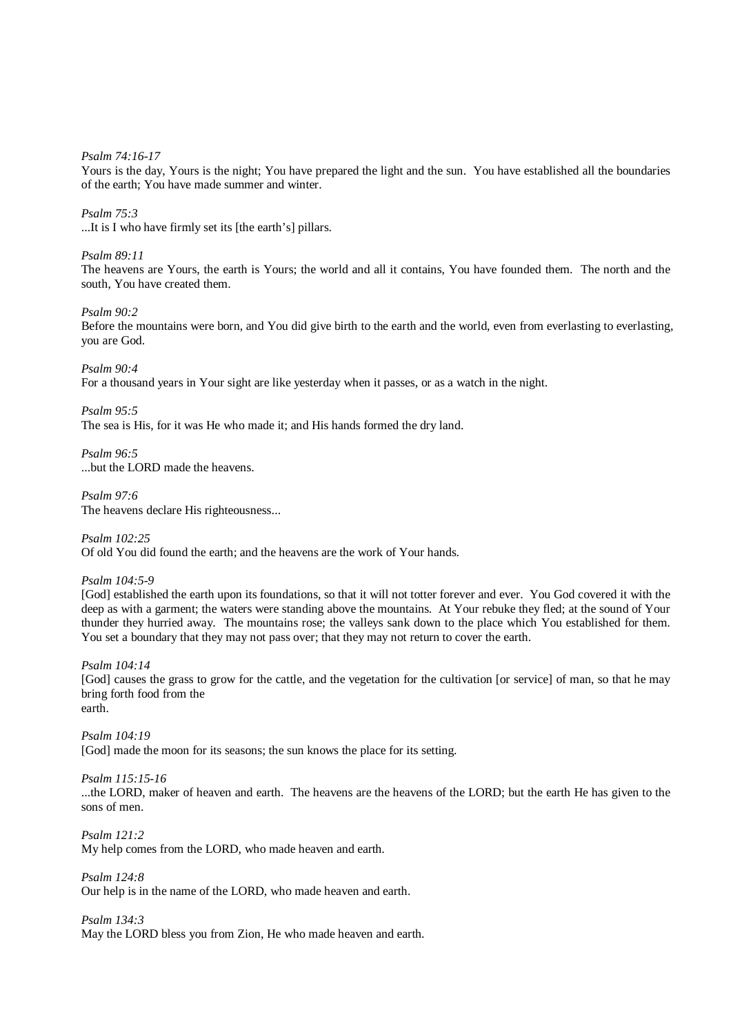*Psalm 74:16-17* 

Yours is the day, Yours is the night; You have prepared the light and the sun. You have established all the boundaries of the earth; You have made summer and winter.

#### *Psalm 75:3*

...It is I who have firmly set its [the earth's] pillars.

### *Psalm 89:11*

The heavens are Yours, the earth is Yours; the world and all it contains, You have founded them. The north and the south, You have created them.

### *Psalm 90:2*

Before the mountains were born, and You did give birth to the earth and the world, even from everlasting to everlasting, you are God.

*Psalm 90:4* 

For a thousand years in Your sight are like yesterday when it passes, or as a watch in the night.

*Psalm 95:5* 

The sea is His, for it was He who made it; and His hands formed the dry land.

*Psalm 96:5*  ...but the LORD made the heavens.

*Psalm 97:6*  The heavens declare His righteousness...

*Psalm 102:25*  Of old You did found the earth; and the heavens are the work of Your hands.

*Psalm 104:5-9* 

[God] established the earth upon its foundations, so that it will not totter forever and ever. You God covered it with the deep as with a garment; the waters were standing above the mountains. At Your rebuke they fled; at the sound of Your thunder they hurried away. The mountains rose; the valleys sank down to the place which You established for them. You set a boundary that they may not pass over; that they may not return to cover the earth.

#### *Psalm 104:14*

[God] causes the grass to grow for the cattle, and the vegetation for the cultivation [or service] of man, so that he may bring forth food from the

earth.

*Psalm 104:19*  [God] made the moon for its seasons; the sun knows the place for its setting.

# *Psalm 115:15-16*

...the LORD, maker of heaven and earth. The heavens are the heavens of the LORD; but the earth He has given to the sons of men.

*Psalm 121:2* 

My help comes from the LORD, who made heaven and earth.

*Psalm 124:8*  Our help is in the name of the LORD, who made heaven and earth.

*Psalm 134:3*  May the LORD bless you from Zion, He who made heaven and earth.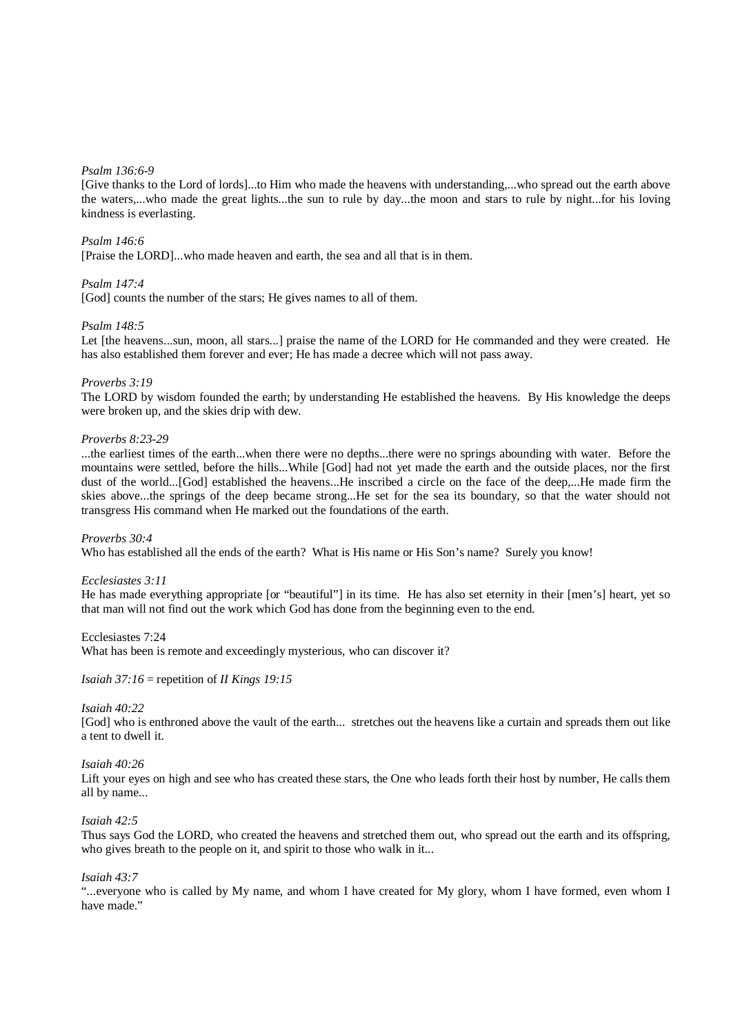#### *Psalm 136:6-9*

[Give thanks to the Lord of lords]...to Him who made the heavens with understanding,...who spread out the earth above the waters,...who made the great lights...the sun to rule by day...the moon and stars to rule by night...for his loving kindness is everlasting.

#### *Psalm 146:6*

[Praise the LORD]...who made heaven and earth, the sea and all that is in them.

### *Psalm 147:4*

[God] counts the number of the stars; He gives names to all of them.

### *Psalm 148:5*

Let [the heavens...sun, moon, all stars...] praise the name of the LORD for He commanded and they were created. He has also established them forever and ever; He has made a decree which will not pass away.

#### *Proverbs 3:19*

The LORD by wisdom founded the earth; by understanding He established the heavens. By His knowledge the deeps were broken up, and the skies drip with dew.

#### *Proverbs 8:23-29*

...the earliest times of the earth...when there were no depths...there were no springs abounding with water. Before the mountains were settled, before the hills...While [God] had not yet made the earth and the outside places, nor the first dust of the world...[God] established the heavens...He inscribed a circle on the face of the deep,...He made firm the skies above...the springs of the deep became strong...He set for the sea its boundary, so that the water should not transgress His command when He marked out the foundations of the earth.

#### *Proverbs 30:4*

Who has established all the ends of the earth? What is His name or His Son's name? Surely you know!

#### *Ecclesiastes 3:11*

He has made everything appropriate [or "beautiful"] in its time. He has also set eternity in their [men's] heart, yet so that man will not find out the work which God has done from the beginning even to the end.

#### Ecclesiastes 7:24

What has been is remote and exceedingly mysterious, who can discover it?

#### *Isaiah 37:16* = repetition of *II Kings 19:15*

#### *Isaiah 40:22*

[God] who is enthroned above the vault of the earth... stretches out the heavens like a curtain and spreads them out like a tent to dwell it.

#### *Isaiah 40:26*

Lift your eyes on high and see who has created these stars, the One who leads forth their host by number, He calls them all by name...

#### *Isaiah 42:5*

Thus says God the LORD, who created the heavens and stretched them out, who spread out the earth and its offspring, who gives breath to the people on it, and spirit to those who walk in it...

#### *Isaiah 43:7*

"...everyone who is called by My name, and whom I have created for My glory, whom I have formed, even whom I have made."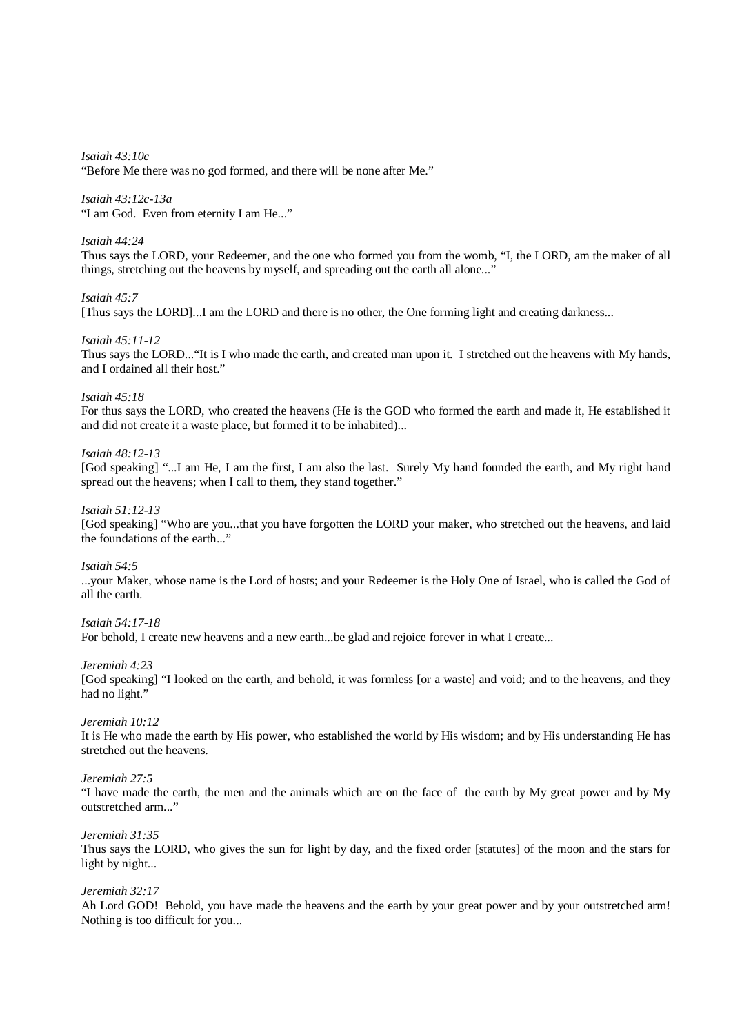*Isaiah 43:10c*  "Before Me there was no god formed, and there will be none after Me."

# *Isaiah 43:12c-13a*

"I am God. Even from eternity I am He..."

# *Isaiah 44:24*

Thus says the LORD, your Redeemer, and the one who formed you from the womb, "I, the LORD, am the maker of all things, stretching out the heavens by myself, and spreading out the earth all alone..."

# *Isaiah 45:7*

[Thus says the LORD]...I am the LORD and there is no other, the One forming light and creating darkness...

# *Isaiah 45:11-12*

Thus says the LORD..."It is I who made the earth, and created man upon it. I stretched out the heavens with My hands, and I ordained all their host."

# *Isaiah 45:18*

For thus says the LORD, who created the heavens (He is the GOD who formed the earth and made it, He established it and did not create it a waste place, but formed it to be inhabited)...

# *Isaiah 48:12-13*

[God speaking] "...I am He, I am the first, I am also the last. Surely My hand founded the earth, and My right hand spread out the heavens; when I call to them, they stand together."

# *Isaiah 51:12-13*

[God speaking] "Who are you...that you have forgotten the LORD your maker, who stretched out the heavens, and laid the foundations of the earth..."

# *Isaiah 54:5*

...your Maker, whose name is the Lord of hosts; and your Redeemer is the Holy One of Israel, who is called the God of all the earth.

# *Isaiah 54:17-18*

For behold, I create new heavens and a new earth...be glad and rejoice forever in what I create...

*Jeremiah 4:23* 

[God speaking] "I looked on the earth, and behold, it was formless [or a waste] and void; and to the heavens, and they had no light."

# *Jeremiah 10:12*

It is He who made the earth by His power, who established the world by His wisdom; and by His understanding He has stretched out the heavens.

# *Jeremiah 27:5*

"I have made the earth, the men and the animals which are on the face of the earth by My great power and by My outstretched arm..."

# *Jeremiah 31:35*

Thus says the LORD, who gives the sun for light by day, and the fixed order [statutes] of the moon and the stars for light by night...

# *Jeremiah 32:17*

Ah Lord GOD! Behold, you have made the heavens and the earth by your great power and by your outstretched arm! Nothing is too difficult for you...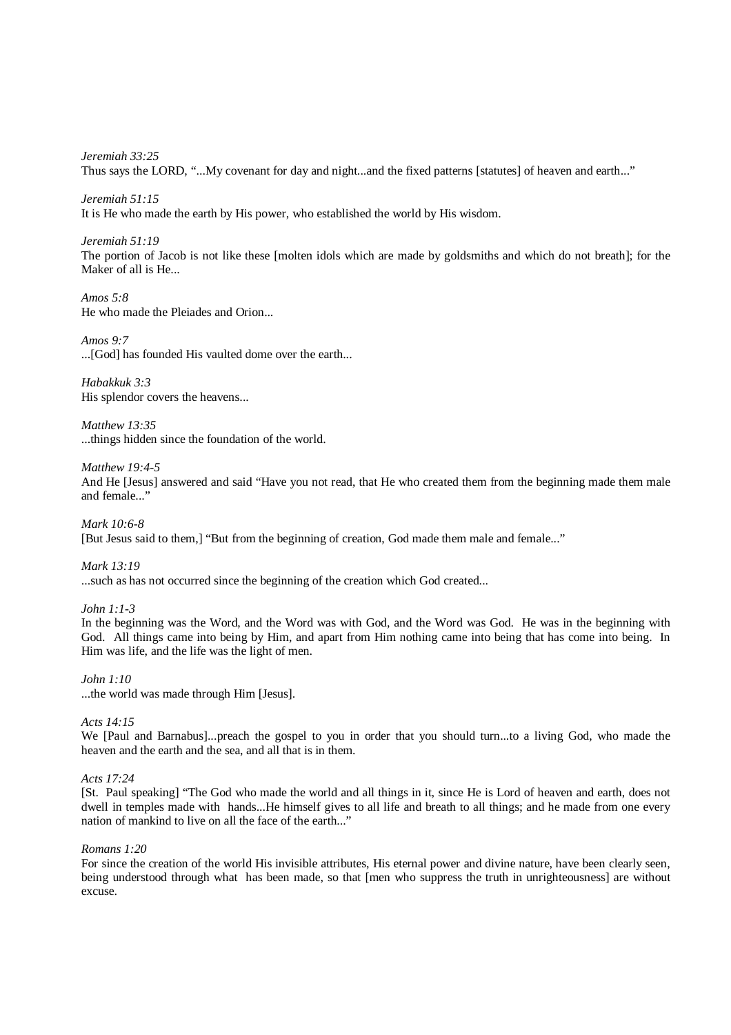*Jeremiah 33:25*  Thus says the LORD, "...My covenant for day and night...and the fixed patterns [statutes] of heaven and earth..."

*Jeremiah 51:15* 

It is He who made the earth by His power, who established the world by His wisdom.

*Jeremiah 51:19* 

The portion of Jacob is not like these [molten idols which are made by goldsmiths and which do not breath]; for the Maker of all is He...

*Amos 5:8*  He who made the Pleiades and Orion...

*Amos 9:7*  ...[God] has founded His vaulted dome over the earth...

*Habakkuk 3:3*  His splendor covers the heavens...

*Matthew 13:35*  ...things hidden since the foundation of the world.

# *Matthew 19:4-5*

And He [Jesus] answered and said "Have you not read, that He who created them from the beginning made them male and female..."

*Mark 10:6-8*  [But Jesus said to them,] "But from the beginning of creation, God made them male and female..."

*Mark 13:19*  ...such as has not occurred since the beginning of the creation which God created...

# *John 1:1-3*

In the beginning was the Word, and the Word was with God, and the Word was God. He was in the beginning with God. All things came into being by Him, and apart from Him nothing came into being that has come into being. In Him was life, and the life was the light of men.

*John 1:10* 

...the world was made through Him [Jesus].

# *Acts 14:15*

We [Paul and Barnabus]...preach the gospel to you in order that you should turn...to a living God, who made the heaven and the earth and the sea, and all that is in them.

# *Acts 17:24*

[St. Paul speaking] "The God who made the world and all things in it, since He is Lord of heaven and earth, does not dwell in temples made with hands...He himself gives to all life and breath to all things; and he made from one every nation of mankind to live on all the face of the earth..."

# *Romans 1:20*

For since the creation of the world His invisible attributes, His eternal power and divine nature, have been clearly seen, being understood through what has been made, so that [men who suppress the truth in unrighteousness] are without excuse.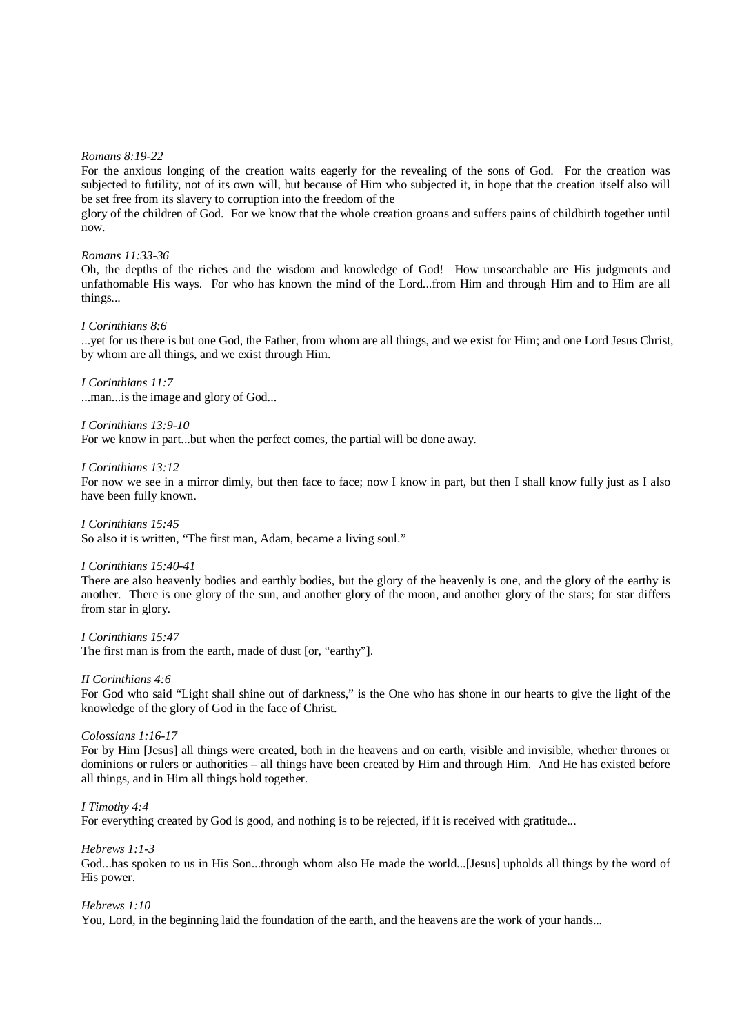#### *Romans 8:19-22*

For the anxious longing of the creation waits eagerly for the revealing of the sons of God. For the creation was subjected to futility, not of its own will, but because of Him who subjected it, in hope that the creation itself also will be set free from its slavery to corruption into the freedom of the

glory of the children of God. For we know that the whole creation groans and suffers pains of childbirth together until now.

#### *Romans 11:33-36*

Oh, the depths of the riches and the wisdom and knowledge of God! How unsearchable are His judgments and unfathomable His ways. For who has known the mind of the Lord...from Him and through Him and to Him are all things...

#### *I Corinthians 8:6*

...yet for us there is but one God, the Father, from whom are all things, and we exist for Him; and one Lord Jesus Christ, by whom are all things, and we exist through Him.

# *I Corinthians 11:7*

...man...is the image and glory of God...

#### *I Corinthians 13:9-10*

For we know in part...but when the perfect comes, the partial will be done away.

#### *I Corinthians 13:12*

For now we see in a mirror dimly, but then face to face; now I know in part, but then I shall know fully just as I also have been fully known.

#### *I Corinthians 15:45*

So also it is written, "The first man, Adam, became a living soul."

#### *I Corinthians 15:40-41*

There are also heavenly bodies and earthly bodies, but the glory of the heavenly is one, and the glory of the earthy is another. There is one glory of the sun, and another glory of the moon, and another glory of the stars; for star differs from star in glory.

*I Corinthians 15:47*  The first man is from the earth, made of dust [or, "earthy"].

#### *II Corinthians 4:6*

For God who said "Light shall shine out of darkness," is the One who has shone in our hearts to give the light of the knowledge of the glory of God in the face of Christ.

#### *Colossians 1:16-17*

For by Him [Jesus] all things were created, both in the heavens and on earth, visible and invisible, whether thrones or dominions or rulers or authorities – all things have been created by Him and through Him. And He has existed before all things, and in Him all things hold together.

#### *I Timothy 4:4*

For everything created by God is good, and nothing is to be rejected, if it is received with gratitude...

#### *Hebrews 1:1-3*

God...has spoken to us in His Son...through whom also He made the world...[Jesus] upholds all things by the word of His power.

#### *Hebrews 1:10*

You, Lord, in the beginning laid the foundation of the earth, and the heavens are the work of your hands...